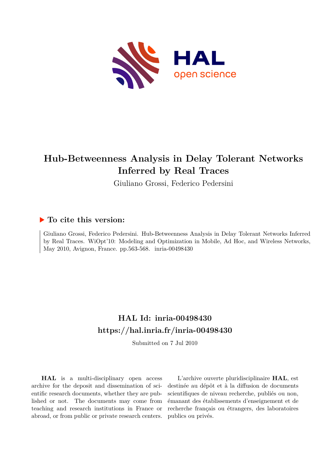

## **Hub-Betweenness Analysis in Delay Tolerant Networks Inferred by Real Traces**

Giuliano Grossi, Federico Pedersini

### **To cite this version:**

Giuliano Grossi, Federico Pedersini. Hub-Betweenness Analysis in Delay Tolerant Networks Inferred by Real Traces. WiOpt'10: Modeling and Optimization in Mobile, Ad Hoc, and Wireless Networks, May 2010, Avignon, France. pp.563-568. inria-00498430

## **HAL Id: inria-00498430 <https://hal.inria.fr/inria-00498430>**

Submitted on 7 Jul 2010

**HAL** is a multi-disciplinary open access archive for the deposit and dissemination of scientific research documents, whether they are published or not. The documents may come from teaching and research institutions in France or abroad, or from public or private research centers.

L'archive ouverte pluridisciplinaire **HAL**, est destinée au dépôt et à la diffusion de documents scientifiques de niveau recherche, publiés ou non, émanant des établissements d'enseignement et de recherche français ou étrangers, des laboratoires publics ou privés.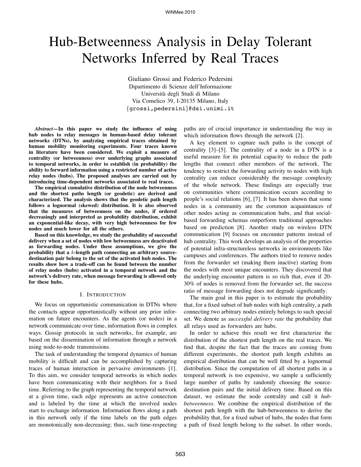# Hub-Betweenness Analysis in Delay Tolerant Networks Inferred by Real Traces

Giuliano Grossi and Federico Pedersini Dipartimento di Scienze dell'Informazione Universita degli Studi di Milano ` Via Comelico 39, I-20135 Milano, Italy {grossi,pedersini}@dsi.unimi.it

*Abstract***—In this paper we study the influence of using hub nodes to relay messages in human-based delay tolerant networks (DTNs), by analyzing empirical traces obtained by human mobility monitoring experiments. Four traces known in literature have been considered. We exploit a measure of centrality (or betweenness) over underlying graphs associated to temporal networks, in order to establish (in probability) the ability to forward information using a restricted number of active relay nodes (hubs). The proposed analyses are carried out by introducing time-dependent networks associated to real traces.**

**The empirical cumulative distribution of the node betweenness and the shortest paths length (or geodetic) are derived and characterized. The analysis shows that the geodetic path length follows a lognormal (skewed) distribution. It is also observed that the measures of betweenness on the nodes, if ordered decreasingly and interpreted as probability distribution, exhibit an exponential-like decay, with very high betweenness for few nodes and much lower for all the others.**

**Based on this knowledge, we study the probability of successful delivery when a set of nodes with low betweenness are deactivated as forwarding nodes. Under these assumptions, we give the probability that a** k**-length path connecting an arbitrary sourcedestination pair belong to the set of the activated hub nodes. The results show how a trade-off can be found between the number of relay nodes (hubs) activated in a temporal network and the network's delivery rate, when message forwarding is allowed only for these hubs.**

#### I. INTRODUCTION

We focus on opportunistic communication in DTNs where the contacts appear opportunistically without any prior information on future encounters. As the agents (or nodes) in a network communicate over time, information flows in complex ways. Gossip protocols in such networks, for example, are based on the dissemination of information through a network using node-to-node transmissions.

The task of understanding the temporal dynamics of human mobility is difficult and can be accomplished by capturing traces of human interaction in pervasive environments [1]. To this aim, we consider temporal networks in which nodes have been communicating with their neighbors for a fixed time. Referring to the graph representing the temporal network at a given time, each edge represents an active connection and is labeled by the time at which the involved nodes start to exchange information. Information flows along a path in this network only if the time labels on the path edges are monotonically non-decreasing; thus, such time-respecting paths are of crucial importance in understanding the way in which information flows through the network [2].

A key element to capture such paths is the concept of centrality [3]–[5]. The centrality of a node in a DTN is a useful measure for its potential capacity to reduce the path lengths that connect other members of the network. The tendency to restrict the forwarding activity to nodes with high centrality can reduce considerably the message complexity of the whole network. These findings are especially true on communities where communication occurs according to people's social relations [6], [7]. It has been shown that some nodes in a community are the common acquaintances of other nodes acting as communication hubs, and that socialbased forwarding schemas outperform traditional approaches based on prediction [8]. Another study on wireless DTN communication [9] focuses on encounter patterns instead of hub centrality. This work develops an analysis of the properties of potential infra-structureless networks in environments like campuses and conferences. The authors tried to remove nodes from the forwarder set (making them inactive) starting from the nodes with most unique encounters. They discovered that the underlying encounter pattern is so rich that, even if 20- 30% of nodes is removed from the forwarder set, the success ratio of message forwarding does not degrade significantly.

The main goal in this paper is to estimate the probability that, for a fixed subset of hub nodes with high centrality, a path connecting two arbitrary nodes entirely belongs to such special set. We denote as *successful delivery rate* the probability that all relays used as forwarders are hubs.

In order to achieve this result we first characterize the distribution of the shortest path length on the real traces. We find that, despite the fact that the traces are coming from different experiments, the shortest path length exhibits an empirical distribution that can be well fitted by a lognormal distribution. Since the computation of all shortest paths in a temporal network is too expensive, we sample a sufficiently large number of paths by randomly choosing the sourcedestination pairs and the initial delivery time. Based on this dataset, we estimate the node centrality and call it *hubbetweenness*. We combine the empirical distribution of the shortest path length with the hub-betweenness to derive the probability that, for a fixed subset of hubs, the nodes that form a path of fixed length belong to the subset. In other words,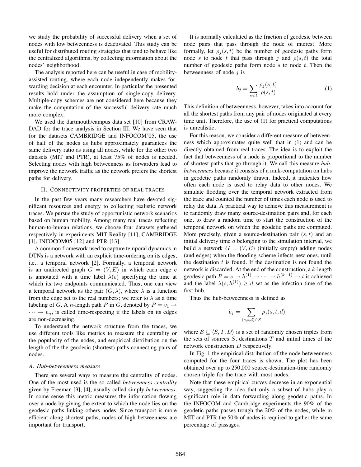we study the probability of successful delivery when a set of nodes with low betweenness is deactivated. This study can be useful for distributed routing strategies that tend to behave like the centralized algorithms, by collecting information about the nodes' neighborhood.

The analysis reported here can be useful in case of mobilityassisted routing, where each node independently makes forwarding decision at each encounter. In particular the presented results hold under the assumption of single-copy delivery. Multiple-copy schemes are not considered here because they make the computation of the successful delivery rate much more complex.

We used the dartmouth/campus data set [10] from CRAW-DAD for the trace analysis in Section III. We have seen that for the datasets CAMBRIDGE and INFOCOM'05, the use of half of the nodes as hubs approximately guarantees the same delivery ratio as using all nodes, while for the other two datasets (MIT and PTR), at least 75% of nodes is needed. Selecting nodes with high betweenness as forwarders lead to improve the network traffic as the network prefers the shortest paths for delivery.

#### II. CONNECTIVITY PROPERTIES OF REAL TRACES

In the past few years many researchers have devoted significant resources and energy to collecting realistic network traces. We pursue the study of opportunistic network scenarios based on human mobility. Among many real traces reflecting human-to-human relations, we choose four datasets gathered respectively in experiments MIT Reality [11], CAMBRIDGE [1], INFOCOM05 [12] and PTR [13].

A common framework used to capture temporal dynamics in DTNs is a network with an explicit time-ordering on its edges, i.e., a temporal network [2]. Formally, a temporal network is an undirected graph  $G = (V, E)$  in which each edge e is annotated with a time label  $\lambda(e)$  specifying the time at which its two endpoints communicated. Thus, one can view a temporal network as the pair  $(G, \lambda)$ , where  $\lambda$  is a function from the edge set to the real numbers; we refer to  $\lambda$  as a time labeling of G. A *n*-length path P in G, denoted by  $P = v_1 \rightarrow$  $\cdots \rightarrow v_n$ , is called time-respecting if the labels on its edges are non-decreasing.

To understand the network structure from the traces, we use different tools like metrics to measure the centrality or the popularity of the nodes, and empirical distribution on the length of the the geodesic (shortest) paths connecting pairs of nodes.

#### *A. Hub-betweenness measure*

There are several ways to measure the centrality of nodes. One of the most used is the so called *betweenness centrality* given by Freeman [3], [4], usually called simply *betweenness*. In some sense this metric measures the information flowing over a node by giving the extent to which the node lies on the geodesic paths linking others nodes. Since transport is more efficient along shortest paths, nodes of high betweenness are important for transport.

It is normally calculated as the fraction of geodesic between node pairs that pass through the node of interest. More formally, let  $\rho_i(s, t)$  be the number of geodesic paths form node s to node t that pass through j and  $\rho(s,t)$  the total number of geodesic paths form node  $s$  to node  $t$ . Then the betweenness of node  $j$  is

$$
b_j = \sum_{s < t} \frac{\rho_j(s, t)}{\rho(s, t)}.\tag{1}
$$

This definition of betweenness, however, takes into account for all the shortest paths from any pair of nodes originated at every time unit. Therefore, the use of (1) for practical computations is unrealistic.

For this reason, we consider a different measure of betweenness which approximates quite well that in (1) and can be directly obtained from real traces. The idea is to exploit the fact that betweenness of a node is proportional to the number of shortest paths that go through it. We call this measure *hubbetweenness* because it consists of a rank-computation on hubs in geodetic paths randomly drawn. Indeed, it indicates how often each node is used to relay data to other nodes. We simulate flooding over the temporal network extracted from the trace and counted the number of times each node is used to relay the data. A practical way to achieve this measurement is to randomly draw many source-destination pairs and, for each one, to draw a random time to start the construction of the temporal network on which the geodetic paths are computed. More precisely, given a source-destination pair  $(s, t)$  and an initial delivery time  $d$  belonging to the simulation interval, we build a network  $G = (V, E)$  (initially empty) adding nodes (and edges) when the flooding scheme infects new ones, until the destination  $t$  is found. If the destination is not found the network is discarded. At the end of the construction, a k-length geodesic path  $P = s \rightarrow h^{(1)} \rightarrow \cdots \rightarrow h^{(k-1)} \rightarrow t$  is achieved and the label  $\lambda(s, h^{(1)}) \geq d$  set as the infection time of the first hub.

Thus the hub-betweenness is defined as

$$
b_j = \sum_{(s,t,d) \in \mathcal{S}} \rho_j(s,t,d),
$$

where  $S \subseteq \langle S, T, D \rangle$  is a set of randomly chosen triples from the sets of sources  $S$ , destinations  $T$  and initial times of the network construction D respectively.

In Fig. 1 the empirical distribution of the node betweenness computed for the four traces is shown. The plot has been obtained over up to 250,000 source-destination-time randomly chosen triple for the trace with most nodes.

Note that these empirical curves decrease in an exponential way, suggesting the idea that only a subset of hubs play a significant role in data forwarding along geodetic paths. In the INFOCOM and Cambridge experiments the 90% of the geodetic paths passes trough the 20% of the nodes, while in MIT and PTR the 50% of nodes is required to gather the same percentage of passages.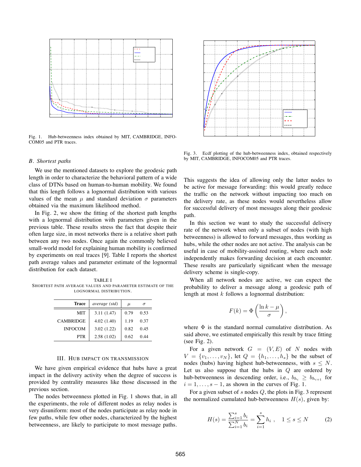

Fig. 1. Hub-betweenness index obtained by MIT, CAMBRIDGE, INFO-COM05 and PTR traces.

#### *B. Shortest paths*

We use the mentioned datasets to explore the geodesic path length in order to characterize the behavioral pattern of a wide class of DTNs based on human-to-human mobility. We found that this length follows a lognormal distribution with various values of the mean  $\mu$  and standard deviation  $\sigma$  parameters obtained via the maximum likelihood method.

In Fig. 2, we show the fitting of the shortest path lengths with a lognormal distribution with parameters given in the previous table. These results stress the fact that despite their often large size, in most networks there is a relative short path between any two nodes. Once again the commonly believed small-world model for explaining human mobility is confirmed by experiments on real traces [9]. Table I reports the shortest path average values and parameter estimate of the lognormal distribution for each dataset.

TABLE I SHORTEST PATH AVERAGE VALUES AND PARAMETER ESTIMATE OF THE LOGNORMAL DISTRIBUTION.

| <b>Trace</b>     | average (std) | $\mu$ |      |
|------------------|---------------|-------|------|
| MIT              | 3.11(1.47)    | 0.79  | 0.53 |
| <b>CAMBRIDGE</b> | 4.02(1.40)    | 1.19  | 0.37 |
| <b>INFOCOM</b>   | 3.02(1.22)    | 0.82  | 0.45 |
| PTR              | 2.58(1.02)    | 0.62  | 0.44 |

#### III. HUB IMPACT ON TRANSMISSION

We have given empirical evidence that hubs have a great impact in the delivery activity when the degree of success is provided by centrality measures like those discussed in the previous section.

The nodes betweenness plotted in Fig. 1 shows that, in all the experiments, the role of different nodes as relay nodes is very disuniform: most of the nodes participate as relay node in few paths, while few other nodes, characterized by the highest betweenness, are likely to participate to most message paths.



Fig. 3. Ecdf plotting of the hub-betweenness index, obtained respectively by MIT, CAMBRIDGE, INFOCOM05 and PTR traces.

This suggests the idea of allowing only the latter nodes to be active for message forwarding: this would greatly reduce the traffic on the network without impacting too much on the delivery rate, as these nodes would nevertheless allow for successful delivery of most messages along their geodesic path.

In this section we want to study the successful delivery rate of the network when only a subset of nodes (with high betweenness) is allowed to forward messages, thus working as hubs, while the other nodes are not active. The analysis can be useful in case of mobility-assisted routing, where each node independently makes forwarding decision at each encounter. These results are particularly significant when the message delivery scheme is single-copy.

When all network nodes are active, we can expect the probability to deliver a message along a geodesic path of length at most  $k$  follows a lognormal distribution:

$$
F(k) = \Phi\left(\frac{\ln k - \mu}{\sigma}\right),\,
$$

where  $\Phi$  is the standard normal cumulative distribution. As said above, we estimated empirically this result by trace fitting (see Fig. 2).

For a given network  $G = (V, E)$  of N nodes with  $V = \{v_1, \ldots, v_N\}$ , let  $Q = \{h_1, \ldots, h_s\}$  be the subset of nodes (hubs) having highest hub-betweenness, with  $s \leq N$ . Let us also suppose that the hubs in  $Q$  are ordered by hub-betweenness in descending order, i.e.,  $b_{h_i} \geq b_{h_{i+1}}$  for  $i = 1, \ldots, s - 1$ , as shown in the curves of Fig. 1.

For a given subset of s nodes  $Q$ , the plots in Fig. 3 represent the normalized cumulated hub-betweenness  $H(s)$ , given by:

$$
H(s) = \frac{\sum_{i=1}^{s} b_i}{\sum_{i=1}^{N} b_i} = \sum_{i=1}^{s} h_i , \quad 1 \le s \le N
$$
 (2)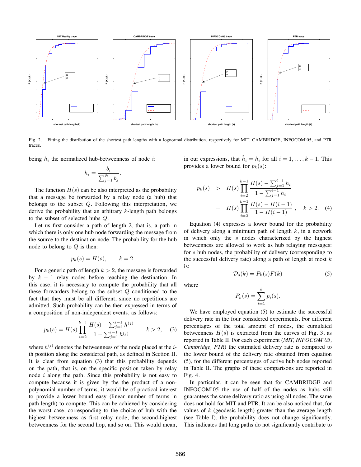

Fig. 2. Fitting the distribution of the shortest path lengths with a lognormal distribution, respectively for MIT, CAMBRIDGE, INFOCOM'05, and PTR traces.

where

being  $h_i$  the normalized hub-betweenness of node *i*:

$$
h_i = \frac{b_i}{\sum_{j=1}^N b_j}.
$$

The function  $H(s)$  can be also interpreted as the probability that a message be forwarded by a relay node (a hub) that belongs to the subset Q. Following this interpretation, we derive the probability that an arbitrary  $k$ -length path belongs to the subset of selected hubs Q.

Let us first consider a path of length 2, that is, a path in which there is only one hub node forwarding the message from the source to the destination node. The probability for the hub node to belong to  $Q$  is then:

$$
p_k(s) = H(s), \qquad k = 2.
$$

For a generic path of length  $k > 2$ , the message is forwarded by  $k - 1$  relay nodes before reaching the destination. In this case, it is necessary to compute the probability that all these forwarders belong to the subset  $Q$  conditioned to the fact that they must be all different, since no repetitions are admitted. Such probability can be then expressed in terms of a composition of non-independent events, as follows:

$$
p_k(s) = H(s) \prod_{i=2}^{k-1} \frac{H(s) - \sum_{j=1}^{i-1} h^{(j)}}{1 - \sum_{j=1}^{i-1} h^{(j)}} \qquad k > 2, \quad (3)
$$

where  $h^{(i)}$  denotes the betweenness of the node placed at the *i*th position along the considered path, as defined in Section II. It is clear from equation (3) that this probability depends on the path, that is, on the specific position taken by relay node  $i$  along the path. Since this probability is not easy to compute because it is given by the the product of a nonpolynomial number of terms, it would be of practical interest to provide a lower bound easy (linear number of terms in path length) to compute. This can be achieved by considering the worst case, corresponding to the choice of hub with the highest betweenness as first relay node, the second-highest betweenness for the second hop, and so on. This would mean,

in our expressions, that  $\hat{h}_i = h_i$  for all  $i = 1, \ldots, k - 1$ . This provides a lower bound for  $p_k(s)$ :

$$
p_k(s) > H(s) \prod_{i=2}^{k-1} \frac{H(s) - \sum_{j=1}^{i-1} h_i}{1 - \sum_{j=1}^{i-1} h_i}
$$
  
= 
$$
H(s) \prod_{i=2}^{k-1} \frac{H(s) - H(i-1)}{1 - H(i-1)}, \quad k > 2.
$$
 (4)

Equation (4) expresses a lower bound for the probability of delivery along a minimum path of length  $k$ , in a network in which only the s nodes characterized by the highest betweenness are allowed to work as hub relaying messages: for s hub nodes, the probability of delivery (corresponding to the successful delivery rate) along a path of length at most  $k$ is:

$$
\mathcal{L}(\mathcal{A}) = \mathcal{L}(\mathcal{A})
$$

$$
P_k(s) = \sum_{i=1}^k p_i(s).
$$

 $\mathcal{D}_s(k) = P_k(s)F(k)$  (5)

We have employed equation  $(5)$  to estimate the successful delivery rate in the four considered experiments. For different percentages of the total amount of nodes, the cumulated betweenness  $H(s)$  is extracted from the curves of Fig. 3, as reported in Table II. For each experiment (*MIT, INFOCOM'05, Cambridge, PTR*) the estimated delivery rate is compared to the lower bound of the delivery rate obtained from equation (5), for the different percentages of active hub nodes reported in Table II. The graphs of these comparisons are reported in Fig. 4.

In particular, it can be seen that for CAMBRIDGE and INFOCOM'05 the use of half of the nodes as hubs still guarantees the same delivery ratio as using all nodes. The same does not hold for MIT and PTR. It can be also noticed that, for values of  $k$  (geodesic length) greater than the average length (see Table I), the probability does not change significantly. This indicates that long paths do not significantly contribute to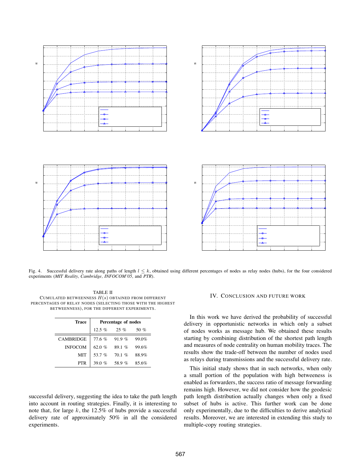

Fig. 4. Successful delivery rate along paths of length  $l \leq k$ , obtained using different percentages of nodes as relay nodes (hubs), for the four considered experiments (*MIT Reality, Cambridge, INFOCOM'05,* and *PTR*).

TABLE II CUMULATED BETWEENNESS  $H(s)$  obtained from different PERCENTAGES OF RELAY NODES (SELECTING THOSE WITH THE HIGHEST BETWEENNESS), FOR THE DIFFERENT EXPERIMENTS.

| Trace            | Percentage of nodes |       |       |
|------------------|---------------------|-------|-------|
|                  | $12.5\%$            | 25 %  | 50 %  |
| <b>CAMBRIDGE</b> | 776%                | 91.9% | 99.0% |
| <b>INFOCOM</b>   | 62.0 %              | 89.1% | 99.6% |
| MIT              | 53.7 $\%$           | 70.1% | 88.9% |
| PTR              | 39 0 $%$            | 58.9% | 85.6% |

successful delivery, suggesting the idea to take the path length into account in routing strategies. Finally, it is interesting to note that, for large k, the  $12.5\%$  of hubs provide a successful delivery rate of approximately 50% in all the considered experiments.

#### IV. CONCLUSION AND FUTURE WORK

In this work we have derived the probability of successful delivery in opportunistic networks in which only a subset of nodes works as message hub. We obtained these results starting by combining distribution of the shortest path length and measures of node centrality on human mobility traces. The results show the trade-off between the number of nodes used as relays during transmissions and the successful delivery rate.

This initial study shows that in such networks, when only a small portion of the population with high betweeness is enabled as forwarders, the success ratio of message forwarding remains high. However, we did not consider how the geodesic path length distribution actually changes when only a fixed subset of hubs is active. This further work can be done only experimentally, due to the difficulties to derive analytical results. Moreover, we are interested in extending this study to multiple-copy routing strategies.